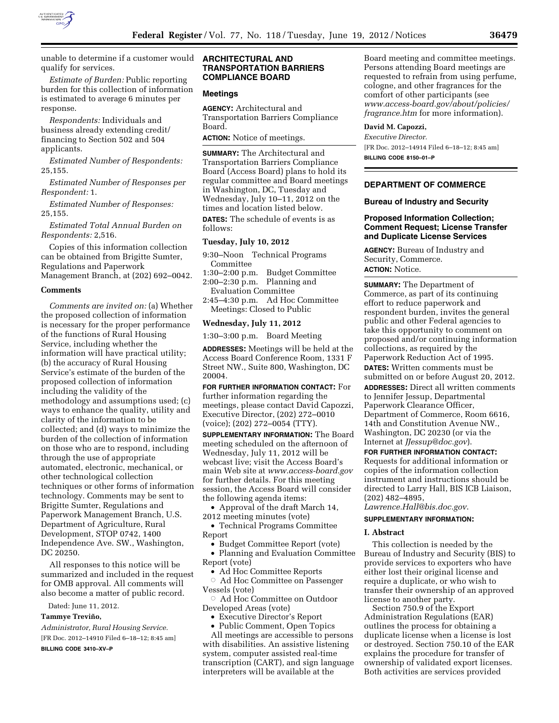

unable to determine if a customer would qualify for services.

*Estimate of Burden:* Public reporting burden for this collection of information is estimated to average 6 minutes per response.

*Respondents:* Individuals and business already extending credit/ financing to Section 502 and 504 applicants.

*Estimated Number of Respondents:*  25,155.

*Estimated Number of Responses per Respondent:* 1.

*Estimated Number of Responses:*  25,155.

*Estimated Total Annual Burden on Respondents:* 2,516.

Copies of this information collection can be obtained from Brigitte Sumter, Regulations and Paperwork Management Branch, at (202) 692–0042.

### **Comments**

*Comments are invited on:* (a) Whether the proposed collection of information is necessary for the proper performance of the functions of Rural Housing Service, including whether the information will have practical utility; (b) the accuracy of Rural Housing Service's estimate of the burden of the proposed collection of information including the validity of the methodology and assumptions used; (c) ways to enhance the quality, utility and clarity of the information to be collected; and (d) ways to minimize the burden of the collection of information on those who are to respond, including through the use of appropriate automated, electronic, mechanical, or other technological collection techniques or other forms of information technology. Comments may be sent to Brigitte Sumter, Regulations and Paperwork Management Branch, U.S. Department of Agriculture, Rural Development, STOP 0742, 1400 Independence Ave. SW., Washington, DC 20250.

All responses to this notice will be summarized and included in the request for OMB approval. All comments will also become a matter of public record.

Dated: June 11, 2012.

## **Tammye Trevin˜ o,**

*Administrator, Rural Housing Service.*  [FR Doc. 2012–14910 Filed 6–18–12; 8:45 am] **BILLING CODE 3410–XV–P** 

## **ARCHITECTURAL AND TRANSPORTATION BARRIERS COMPLIANCE BOARD**

### **Meetings**

**AGENCY:** Architectural and Transportation Barriers Compliance Board.

**ACTION:** Notice of meetings.

**SUMMARY:** The Architectural and Transportation Barriers Compliance Board (Access Board) plans to hold its regular committee and Board meetings in Washington, DC, Tuesday and Wednesday, July 10–11, 2012 on the times and location listed below.

**DATES:** The schedule of events is as follows:

#### **Tuesday, July 10, 2012**

9:30–Noon Technical Programs Committee

- 1:30–2:00 p.m. Budget Committee 2:00–2:30 p.m. Planning and Evaluation Committee
- 2:45–4:30 p.m. Ad Hoc Committee Meetings: Closed to Public

#### **Wednesday, July 11, 2012**

1:30–3:00 p.m. Board Meeting

**ADDRESSES:** Meetings will be held at the Access Board Conference Room, 1331 F Street NW., Suite 800, Washington, DC 20004.

**FOR FURTHER INFORMATION CONTACT:** For further information regarding the meetings, please contact David Capozzi, Executive Director, (202) 272–0010 (voice); (202) 272–0054 (TTY).

**SUPPLEMENTARY INFORMATION:** The Board meeting scheduled on the afternoon of Wednesday, July 11, 2012 will be webcast live; visit the Access Board's main Web site at *[www.access-board.gov](http://www.access-board.gov)*  for further details. For this meeting session, the Access Board will consider the following agenda items:

• Approval of the draft March 14, 2012 meeting minutes (vote)

• Technical Programs Committee Report

• Budget Committee Report (vote)

• Planning and Evaluation Committee Report (vote)

• Ad Hoc Committee Reports

 $\circ$  Ad Hoc Committee on Passenger Vessels (vote)

Æ Ad Hoc Committee on Outdoor Developed Areas (vote)

- Executive Director's Report
- Public Comment, Open Topics

All meetings are accessible to persons with disabilities. An assistive listening system, computer assisted real-time transcription (CART), and sign language interpreters will be available at the

Board meeting and committee meetings. Persons attending Board meetings are requested to refrain from using perfume, cologne, and other fragrances for the comfort of other participants (see *[www.access-board.gov/about/policies/](http://www.access-board.gov/about/policies/fragrance.htm) [fragrance.htm](http://www.access-board.gov/about/policies/fragrance.htm)* for more information).

### **David M. Capozzi,**

*Executive Director.*  [FR Doc. 2012–14914 Filed 6–18–12; 8:45 am] **BILLING CODE 8150–01–P** 

# **DEPARTMENT OF COMMERCE**

## **Bureau of Industry and Security**

## **Proposed Information Collection; Comment Request; License Transfer and Duplicate License Services**

**AGENCY:** Bureau of Industry and Security, Commerce. **ACTION:** Notice.

**SUMMARY:** The Department of Commerce, as part of its continuing effort to reduce paperwork and respondent burden, invites the general public and other Federal agencies to take this opportunity to comment on proposed and/or continuing information collections, as required by the Paperwork Reduction Act of 1995. **DATES:** Written comments must be submitted on or before August 20, 2012. **ADDRESSES:** Direct all written comments to Jennifer Jessup, Departmental Paperwork Clearance Officer, Department of Commerce, Room 6616, 14th and Constitution Avenue NW., Washington, DC 20230 (or via the Internet at *[JJessup@doc.gov](mailto:JJessup@doc.gov)*).

**FOR FURTHER INFORMATION CONTACT:** 

Requests for additional information or copies of the information collection instrument and instructions should be directed to Larry Hall, BIS ICB Liaison, (202) 482–4895,

*[Lawrence.Hall@bis.doc.gov](mailto:Lawrence.Hall@bis.doc.gov)*.

## **SUPPLEMENTARY INFORMATION:**

#### **I. Abstract**

This collection is needed by the Bureau of Industry and Security (BIS) to provide services to exporters who have either lost their original license and require a duplicate, or who wish to transfer their ownership of an approved license to another party.

Section 750.9 of the Export Administration Regulations (EAR) outlines the process for obtaining a duplicate license when a license is lost or destroyed. Section 750.10 of the EAR explains the procedure for transfer of ownership of validated export licenses. Both activities are services provided